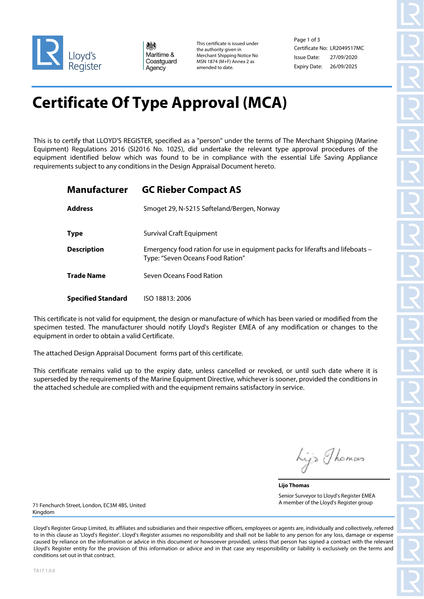

爀 Maritime & Coastguard Agency

This certificate is issued under the authority given in Merchant Shipping Notice No MSN 1874 (M+F) Annex 2 as amended to date.

Page 1 of 3 Certificate No: LR2049517MC Issue Date: Expiry Date: 26/09/2025 27/09/2020

# **Certificate Of Type Approval (MCA)**

This is to certify that LLOYD'S REGISTER, specified as a "person" under the terms of The Merchant Shipping (Marine Equipment) Regulations 2016 (SI2016 No. 1025), did undertake the relevant type approval procedures of the equipment identified below which was found to be in compliance with the essential Life Saving Appliance requirements subject to any conditions in the Design Appraisal Document hereto.

| <b>Manufacturer</b>       | <b>GC Rieber Compact AS</b>                                                                                        |
|---------------------------|--------------------------------------------------------------------------------------------------------------------|
| <b>Address</b>            | Smoget 29, N-5215 Søfteland/Bergen, Norway                                                                         |
| <b>Type</b>               | <b>Survival Craft Equipment</b>                                                                                    |
| <b>Description</b>        | Emergency food ration for use in equipment packs for liferafts and lifeboats -<br>Type: "Seven Oceans Food Ration" |
| <b>Trade Name</b>         | Seven Oceans Food Ration                                                                                           |
| <b>Specified Standard</b> | ISO 18813: 2006                                                                                                    |

This certificate is not valid for equipment, the design or manufacture of which has been varied or modified from the specimen tested. The manufacturer should notify Lloyd's Register EMEA of any modification or changes to the equipment in order to obtain a valid Certificate.

The attached Design Appraisal Document forms part of this certificate.

This certificate remains valid up to the expiry date, unless cancelled or revoked, or until such date where it is superseded by the requirements of the Marine Equipment Directive, whichever is sooner, provided the conditions in the attached schedule are complied with and the equipment remains satisfactory in service.

hijs Thomas

**Lijo Thomas** Senior Surveyor to Lloyd's Register EMEA A member of the Lloyd's Register group

71 Fenchurch Street, London, EC3M 4BS, United Kingdom

Lloyd's Register Group Limited, its affiliates and subsidiaries and their respective officers, employees or agents are, individually and collectively, referred to in this clause as 'Lloyd's Register'. Lloyd's Register assumes no responsibility and shall not be liable to any person for any loss, damage or expense caused by reliance on the information or advice in this document or howsoever provided, unless that person has signed a contract with the relevant Lloyd's Register entity for the provision of this information or advice and in that case any responsibility or liability is exclusively on the terms and conditions set out in that contract.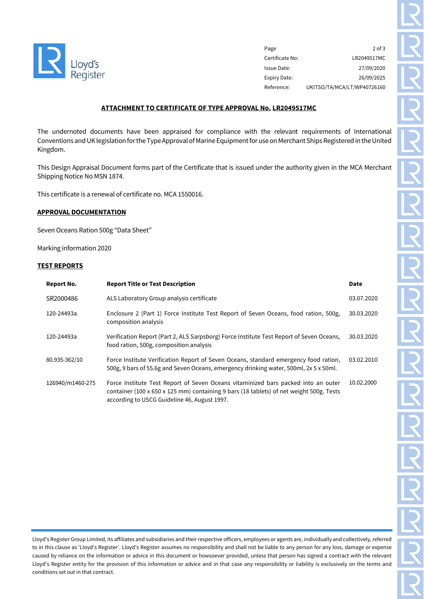

| Page            | $2$ of $3$                  |
|-----------------|-----------------------------|
| Certificate No: | LR2049517MC                 |
| Issue Date:     | 27/09/2020                  |
| Expiry Date:    | 26/09/2025                  |
| Reference:      | UKITSO/TA/MCA/LT/WP40726160 |

### **ATTACHMENT TO CERTIFICATE OF TYPE APPROVAL No. LR2049517MC**

The undernoted documents have been appraised for compliance with the relevant requirements of International Conventions and UK legislation for the Type Approval of Marine Equipment for use on Merchant Ships Registered in the United Kingdom.

This Design Appraisal Document forms part of the Certificate that is issued under the authority given in the MCA Merchant Shipping Notice No MSN 1874.

This certificate is a renewal of certificate no. MCA 1550016.

#### **APPROVAL DOCUMENTATION**

Seven Oceans Ration 500g "Data Sheet"

Marking information 2020

#### **TEST REPORTS**

| Report No.       | <b>Report Title or Test Description</b>                                                                                                                                                                                      | <b>Date</b> |
|------------------|------------------------------------------------------------------------------------------------------------------------------------------------------------------------------------------------------------------------------|-------------|
| SR2000486        | ALS Laboratory Group analysis certificate                                                                                                                                                                                    | 03.07.2020  |
| 120-24493a       | Enclosure 2 (Part 1) Force Institute Test Report of Seven Oceans, food ration, 500g,<br>composition analysis                                                                                                                 | 30.03.2020  |
| 120-24493a       | Verification Report (Part 2, ALS Sarpsborg) Force Institute Test Report of Seven Oceans,<br>food ration, 500g, composition analysis                                                                                          | 30.03.2020  |
| 80.935-362/10    | Force Institute Verification Report of Seven Oceans, standard emergency food ration,<br>500g, 9 bars of 55.6g and Seven Oceans, emergency drinking water, 500ml, 2x 5 x 50ml.                                                | 03.02.2010  |
| 126940/m1460-275 | Force Institute Test Report of Seven Oceans vitaminized bars packed into an outer<br>container (100 x 650 x 125 mm) containing 9 bars (18 tablets) of net weight 500g. Tests<br>according to USCG Guideline 46, August 1997. | 10.02.2000  |

Lloyd's Register Group Limited, its affiliates and subsidiaries and their respective officers, employees or agents are, individually and collectively, referred to in this clause as 'Lloyd's Register'. Lloyd's Register assumes no responsibility and shall not be liable to any person for any loss, damage or expense caused by reliance on the information or advice in this document or howsoever provided, unless that person has signed a contract with the relevant Lloyd's Register entity for the provision of this information or advice and in that case any responsibility or liability is exclusively on the terms and conditions set out in that contract.